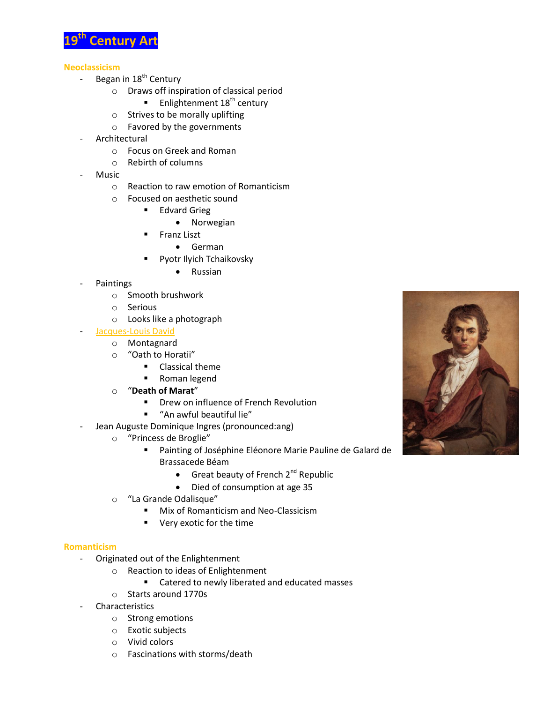

## **Neoclassicism**

- Began in 18<sup>th</sup> Century
	- o Draws off inspiration of classical period
		- **Enlightenment 18<sup>th</sup> century**
	- o Strives to be morally uplifting
	- o Favored by the governments
- **Architectural** 
	- o Focus on Greek and Roman
	- o Rebirth of columns
- Music
	- o Reaction to raw emotion of Romanticism
	- o Focused on aesthetic sound
		- **Edvard Grieg** 
			- Norwegian
			- Franz Liszt
				- German
		- Pyotr Ilyich Tchaikovsky
			- Russian
- **Paintings** 
	- o Smooth brushwork
	- o Serious
	- o Looks like a photograph

## Jacques-Louis David

- o Montagnard
- o "Oath to Horatii"
	- **Classical theme**
	- Roman legend
- o "**Death of Marat**"
	- **•** Drew on influence of French Revolution
	- "An awful beautiful lie"
- Jean Auguste Dominique Ingres (pronounced:ang)
	- o "Princess de Broglie"
		- Painting of Joséphine Eléonore Marie Pauline de Galard de Brassacede Béam
			- Great beauty of French  $2^{nd}$  Republic
			- Died of consumption at age 35
	- o "La Grande Odalisque"
		- **Mix of Romanticism and Neo-Classicism**
		- Very exotic for the time

## **Romanticism**

- Originated out of the Enlightenment
	- o Reaction to ideas of Enlightenment
		- **EXEC** Catered to newly liberated and educated masses
	- o Starts around 1770s
- **Characteristics** 
	- o Strong emotions
	- o Exotic subjects
	- o Vivid colors
	- o Fascinations with storms/death